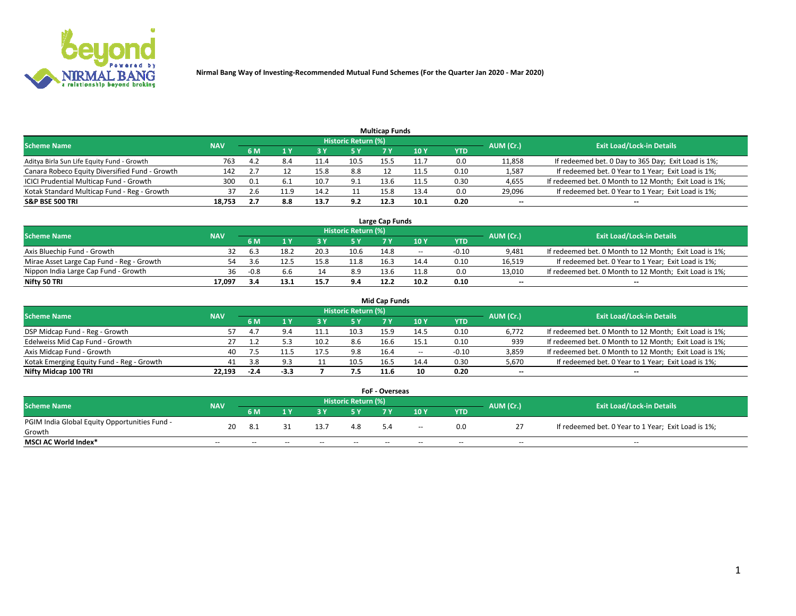

|                                                |            |     |      |      |                     | <b>Multicap Funds</b> |      |      |                          |                                                        |
|------------------------------------------------|------------|-----|------|------|---------------------|-----------------------|------|------|--------------------------|--------------------------------------------------------|
| Scheme Name                                    | <b>NAV</b> |     |      |      | Historic Return (%) |                       |      |      | AUM (Cr.)                | <b>Exit Load/Lock-in Details</b>                       |
|                                                |            | 6 M |      |      | 5 Y                 |                       | 10 ۱ | YTD  |                          |                                                        |
| Aditya Birla Sun Life Equity Fund - Growth     | 763        | 4.2 |      |      | 10.5                | 15.5                  |      | 0.0  | 11,858                   | If redeemed bet. 0 Day to 365 Day; Exit Load is 1%;    |
| Canara Robeco Equity Diversified Fund - Growth | 142        |     |      |      | 8.8                 |                       | 11.5 | 0.10 | 1,587                    | If redeemed bet. 0 Year to 1 Year; Exit Load is 1%;    |
| ICICI Prudential Multicap Fund - Growth        | 300        | 0.1 |      | 10.  | 9.1                 | 13.6                  | 11.5 | 0.30 | 4,655                    | If redeemed bet. 0 Month to 12 Month; Exit Load is 1%; |
| Kotak Standard Multicap Fund - Reg - Growth    |            | 2.6 | 11.9 |      |                     | 15.8                  | 13.4 | 0.0  | 29,096                   | If redeemed bet. 0 Year to 1 Year; Exit Load is 1%;    |
| <b>S&amp;P BSE 500 TRI</b>                     | 18.753     |     | 8.8  | 13.7 | 9.2                 | 12.3                  | 10.1 | 0.20 | $\overline{\phantom{a}}$ | $- -$                                                  |

| Large Cap Funds                           |            |        |      |      |                     |      |       |         |           |                                                        |  |  |  |  |
|-------------------------------------------|------------|--------|------|------|---------------------|------|-------|---------|-----------|--------------------------------------------------------|--|--|--|--|
| Scheme Name                               | <b>NAV</b> |        |      |      | Historic Return (%) |      |       |         | AUM (Cr.) | <b>Exit Load/Lock-in Details</b>                       |  |  |  |  |
|                                           |            | 6 M    |      |      | 5 Y                 |      | 10Y   | YTD     |           |                                                        |  |  |  |  |
| Axis Bluechip Fund - Growth               |            |        | 18.2 | 20.3 | 10.6                | 14.8 | $- -$ | $-0.10$ | 9,481     | If redeemed bet. 0 Month to 12 Month; Exit Load is 1%; |  |  |  |  |
| Mirae Asset Large Cap Fund - Reg - Growth | 54         | ≺ 'n   |      |      | 11.8                | 16.5 | 14.4  | 0.10    | 16,519    | If redeemed bet. 0 Year to 1 Year; Exit Load is 1%;    |  |  |  |  |
| Nippon India Large Cap Fund - Growth      | 36         | $-0.8$ |      |      | 8.9                 | 13 A | 11.8  | 0.0     | 13,010    | If redeemed bet. 0 Month to 12 Month; Exit Load is 1%; |  |  |  |  |
| Nifty 50 TRI                              | 17.097     | 3.4    |      | 15.  | 9.4                 | 12.2 | 10.2  | 0.10    | $\sim$    | $-$                                                    |  |  |  |  |

|                                           |            |        |      |      |                     | <b>Mid Cap Funds</b> |      |            |           |                                                        |
|-------------------------------------------|------------|--------|------|------|---------------------|----------------------|------|------------|-----------|--------------------------------------------------------|
| <b>Scheme Name</b>                        | <b>NAV</b> |        |      |      | Historic Return (%) |                      |      |            | AUM (Cr.) | <b>Exit Load/Lock-in Details</b>                       |
|                                           |            | 6 M    |      |      | 5 Y                 |                      | 10 Y | <b>YTD</b> |           |                                                        |
| DSP Midcap Fund - Reg - Growth            | 57         | 4      | 4.ر  |      | 10.3                | 15.9                 | 14.5 | 0.10       | 6,772     | If redeemed bet. 0 Month to 12 Month; Exit Load is 1%; |
| Edelweiss Mid Cap Fund - Growth           |            |        |      | 10.2 | 8.6                 | 16.6                 | 15.1 | 0.10       | 939       | If redeemed bet. 0 Month to 12 Month; Exit Load is 1%; |
| Axis Midcap Fund - Growth                 | 40         |        |      |      | 9.8                 | 16.4                 | $-$  | $-0.10$    | 3,859     | If redeemed bet. 0 Month to 12 Month; Exit Load is 1%; |
| Kotak Emerging Equity Fund - Reg - Growth | 41         | 3.8    | 9.3  |      | 10.5                | 16.5                 | 14.4 | 0.30       | 5,670     | If redeemed bet. 0 Year to 1 Year; Exit Load is 1%;    |
| Nifty Midcap 100 TRI                      | 22.193     | $-2.4$ | -3.3 |      | 7.5                 | 11.6                 | 10   | 0.20       | $\sim$    | $\sim$                                                 |

| <b>FoF - Overseas</b>                         |            |       |       |       |                            |     |        |            |           |                                                     |  |  |  |  |
|-----------------------------------------------|------------|-------|-------|-------|----------------------------|-----|--------|------------|-----------|-----------------------------------------------------|--|--|--|--|
| <b>Scheme Name</b>                            | <b>NAV</b> |       |       |       | <b>Historic Return (%)</b> |     |        |            | AUM (Cr.) | <b>Exit Load/Lock-in Details</b>                    |  |  |  |  |
|                                               |            | 6 M   |       |       |                            |     | 10Y    | <b>YTD</b> |           |                                                     |  |  |  |  |
| PGIM India Global Equity Opportunities Fund - | 20         |       |       | 13.7  | 4.8                        | 5.4 | $\sim$ | 0.0        |           | If redeemed bet. 0 Year to 1 Year; Exit Load is 1%; |  |  |  |  |
| Growth                                        |            |       |       |       |                            |     |        |            |           |                                                     |  |  |  |  |
| <b>MSCI AC World Index*</b>                   | $- -$      | $- -$ | $- -$ | $- -$ | $- -$                      | --  | $- -$  | $- -$      | $- -$     | $- -$                                               |  |  |  |  |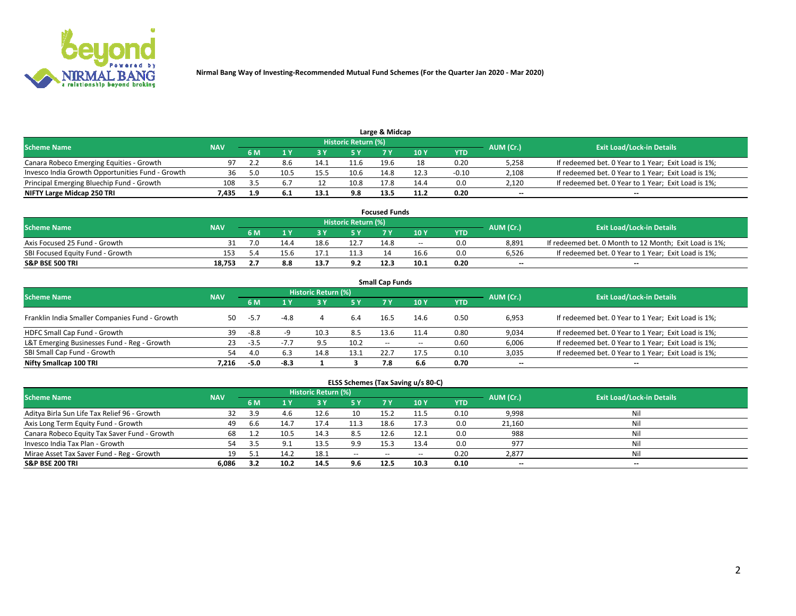

|                                                  |            |     |      |      |                     | Large & Midcap |      |         |           |                                                     |
|--------------------------------------------------|------------|-----|------|------|---------------------|----------------|------|---------|-----------|-----------------------------------------------------|
| <b>Scheme Name</b>                               | <b>NAV</b> |     |      |      | Historic Return (%) |                |      |         | AUM (Cr.) | <b>Exit Load/Lock-in Details</b>                    |
|                                                  |            | 6 M |      |      | 5 Y                 |                | 10Y  | YTD     |           |                                                     |
| Canara Robeco Emerging Equities - Growth         | 97         |     | 8.6  | 14.1 | 11.6                | 19.6           |      | 0.20    | 5,258     | If redeemed bet. 0 Year to 1 Year; Exit Load is 1%; |
| Invesco India Growth Opportunities Fund - Growth | 36         |     | 10.5 | 15.5 | 10.6                | 14.8           | 12.3 | $-0.10$ | 2,108     | If redeemed bet. 0 Year to 1 Year; Exit Load is 1%; |
| Principal Emerging Bluechip Fund - Growth        | 108        |     |      |      | 10.8                | 17.8           | 14.4 | 0.0     | 2,120     | If redeemed bet. 0 Year to 1 Year; Exit Load is 1%; |
| NIFTY Large Midcap 250 TRI                       | 435.       |     | 6.1  | 13.1 | 9.8                 | 13.5           | 11.2 | 0.20    | $\sim$    | $-$                                                 |

| <b>Focused Funds</b>             |            |     |      |      |                     |      |       |      |           |                                                        |  |  |  |
|----------------------------------|------------|-----|------|------|---------------------|------|-------|------|-----------|--------------------------------------------------------|--|--|--|
| <b>Scheme Name</b>               | <b>NAV</b> |     |      |      | Historic Return (%) |      |       |      |           | <b>Exit Load/Lock-in Details</b>                       |  |  |  |
|                                  |            | 6 M |      |      |                     |      | 10 Y  | YTD  | AUM (Cr.) |                                                        |  |  |  |
| Axis Focused 25 Fund - Growth    |            |     | 14.4 | 18.6 | 12.7                | 14.8 | $- -$ | 0.0  | 8.891     | If redeemed bet. 0 Month to 12 Month; Exit Load is 1%; |  |  |  |
| SBI Focused Equity Fund - Growth | 153        |     | 15.b |      |                     |      | 16.6  | 0.0  | 6.526     | If redeemed bet. 0 Year to 1 Year; Exit Load is 1%;    |  |  |  |
| <b>S&amp;P BSE 500 TRI</b>       | 18.753     |     | 8.8  | 13.7 | 9.2                 | 12.3 | 10.1  | 0.20 | $\sim$    | $- -$                                                  |  |  |  |

| <b>Small Cap Funds</b>                         |            |        |        |                     |      |        |        |      |           |                                                     |  |  |  |  |
|------------------------------------------------|------------|--------|--------|---------------------|------|--------|--------|------|-----------|-----------------------------------------------------|--|--|--|--|
| <b>Scheme Name</b>                             | <b>NAV</b> |        |        | Historic Return (%) |      |        |        |      | AUM (Cr.) | <b>Exit Load/Lock-in Details</b>                    |  |  |  |  |
|                                                |            | 6 M    |        | 3Y                  | 5 Y  | 7 Y    | 10Y    | YTD  |           |                                                     |  |  |  |  |
| Franklin India Smaller Companies Fund - Growth | 50         | $-5.7$ | $-4.8$ |                     | 6.4  | 16.5   | 14.6   | 0.50 | 6,953     | If redeemed bet. 0 Year to 1 Year; Exit Load is 1%; |  |  |  |  |
| HDFC Small Cap Fund - Growth                   | 39         | -8.8   |        | 10.3                | 8.5  | 13.6   | 11.4   | 0.80 | 9,034     | If redeemed bet. 0 Year to 1 Year; Exit Load is 1%; |  |  |  |  |
| L&T Emerging Businesses Fund - Reg - Growth    | 23         | -3.5   | $-7.7$ | 9.5                 | 10.2 | $\sim$ | $\sim$ | 0.60 | 6,006     | If redeemed bet. 0 Year to 1 Year; Exit Load is 1%; |  |  |  |  |
| SBI Small Cap Fund - Growth                    | 54         | 4.0    | 6.3    | 14.8                | 13.1 | 22.7   | 17.5   | 0.10 | 3,035     | If redeemed bet. 0 Year to 1 Year; Exit Load is 1%; |  |  |  |  |
| Nifty Smallcap 100 TRI                         | 7.216      | $-5.0$ | $-8.3$ |                     |      | 7.8    | 6.6    | 0.70 | $\sim$    | $- -$                                               |  |  |  |  |

## **ELSS Schemes (Tax Saving u/s 80-C)**

| <b>Scheme Name</b>                           | <b>NAV</b> |      |       | <b>Historic Return (%)</b> |           |      |      |      | AUM (Cr.) | <b>Exit Load/Lock-in Details</b> |
|----------------------------------------------|------------|------|-------|----------------------------|-----------|------|------|------|-----------|----------------------------------|
|                                              |            | 6 M  | 1 Y   | 3 Y                        | <b>5Y</b> | 7 Y  | 10Y  | YTD  |           |                                  |
| Aditya Birla Sun Life Tax Relief 96 - Growth | 32         | 3.9  |       | 12.6                       | 10        | 15.2 |      | 0.10 | 9,998     | Nil                              |
| Axis Long Term Equity Fund - Growth          | 49         | -6.6 | 14. . | 17.4                       | 11.3      | 18.6 | 17.3 | 0.0  | 21,160    | Nil                              |
| Canara Robeco Equity Tax Saver Fund - Growth | 68         |      | 10.5  | 14.3                       | 8.5       | 12.6 | 12.1 | 0.0  | 988       | Nil                              |
| Invesco India Tax Plan - Growth              | 54         | -3.5 |       | 13.5                       | 9.9       | 15.3 | 13.4 | 0.0  | 977       | Nil                              |
| Mirae Asset Tax Saver Fund - Reg - Growth    | 19         |      | 14.2  | 18.1                       | $- -$     | --   | --   | 0.20 | 2,877     | Nil                              |
| S&P BSE 200 TRI                              | 6,086      | 3.2  | 10.2  | 14.5                       | 9.6       | 12.5 | 10.3 | 0.10 | $-$       | $- -$                            |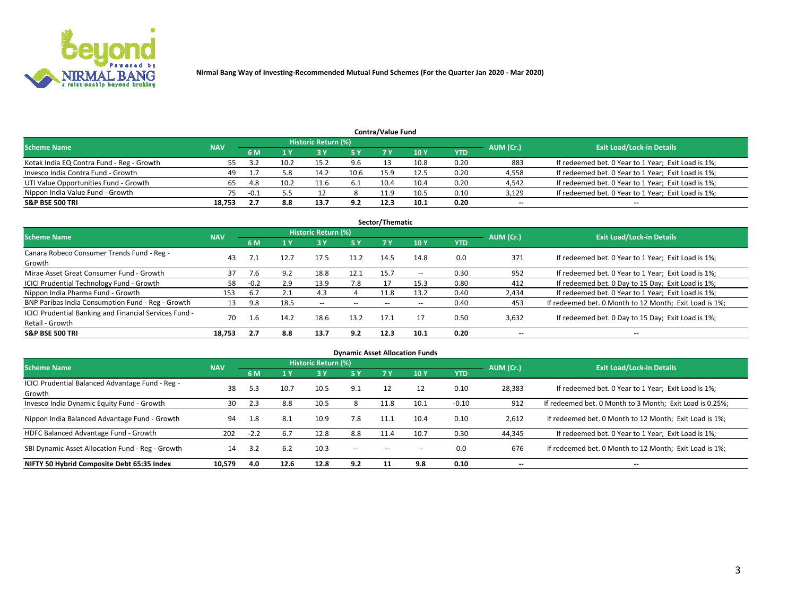

| <b>Contra/Value Fund</b>                                                                                        |        |        |      |      |      |      |      |            |        |                                                     |  |  |  |  |
|-----------------------------------------------------------------------------------------------------------------|--------|--------|------|------|------|------|------|------------|--------|-----------------------------------------------------|--|--|--|--|
| <b>Historic Return (%)</b><br><b>Exit Load/Lock-in Details</b><br>AUM (Cr.)<br><b>Scheme Name</b><br><b>NAV</b> |        |        |      |      |      |      |      |            |        |                                                     |  |  |  |  |
|                                                                                                                 |        | 6 M    |      |      | 5 Y  | 7 V  | 10Y  | <b>YTD</b> |        |                                                     |  |  |  |  |
| Kotak India EQ Contra Fund - Reg - Growth                                                                       |        |        | 10.2 | 15.2 | 9.6  |      | 10.8 | 0.20       | 883    | If redeemed bet. 0 Year to 1 Year; Exit Load is 1%; |  |  |  |  |
| Invesco India Contra Fund - Growth                                                                              | 49     |        | 5.8  | 14.2 | 10.6 | 15.9 | 12.5 | 0.20       | 4,558  | If redeemed bet. 0 Year to 1 Year; Exit Load is 1%; |  |  |  |  |
| UTI Value Opportunities Fund - Growth                                                                           |        | 4.8    | 10.2 | 11.6 | -6.1 | 10.4 | 10.4 | 0.20       | 4,542  | If redeemed bet. 0 Year to 1 Year; Exit Load is 1%; |  |  |  |  |
| Nippon India Value Fund - Growth                                                                                | 75.    | $-0.1$ |      |      |      | 11.9 | 10.5 | 0.10       | 3,129  | If redeemed bet. 0 Year to 1 Year; Exit Load is 1%; |  |  |  |  |
| <b>S&amp;P BSE 500 TRI</b>                                                                                      | 18,753 |        | 8.8  | 13.7 | 9.2  | 12.3 | 10.1 | 0.20       | $\sim$ | $- -$                                               |  |  |  |  |

|                                                                           |            |        |      |                     |       | Sector/Thematic |                          |            |                          |                                                        |
|---------------------------------------------------------------------------|------------|--------|------|---------------------|-------|-----------------|--------------------------|------------|--------------------------|--------------------------------------------------------|
| <b>Scheme Name</b>                                                        | <b>NAV</b> |        |      | Historic Return (%) |       |                 |                          |            | AUM (Cr.)                | <b>Exit Load/Lock-in Details</b>                       |
|                                                                           |            | 6 M    | 1 Y  | 73 Y                | 5 Y   | 7 Y             | 10Y                      | <b>YTD</b> |                          |                                                        |
| Canara Robeco Consumer Trends Fund - Reg -<br>Growth                      | 43         |        | 12.7 | 17.5                | 11.2  | 14.5            | 14.8                     | 0.0        | 371                      | If redeemed bet. 0 Year to 1 Year; Exit Load is 1%;    |
| Mirae Asset Great Consumer Fund - Growth                                  | 37         | 7.6    | 9.2  | 18.8                | 12.1  | 15.7            | $\overline{\phantom{a}}$ | 0.30       | 952                      | If redeemed bet. 0 Year to 1 Year; Exit Load is 1%;    |
| ICICI Prudential Technology Fund - Growth                                 | 58         | $-0.2$ | 2.9  | 13.9                | 7.8   |                 | 15.3                     | 0.80       | 412                      | If redeemed bet. 0 Day to 15 Day; Exit Load is 1%;     |
| Nippon India Pharma Fund - Growth                                         | 153        | 6.7    | 2.1  | 4.3                 |       | 11.8            | 13.2                     | 0.40       | 2,434                    | If redeemed bet. 0 Year to 1 Year; Exit Load is 1%;    |
| BNP Paribas India Consumption Fund - Reg - Growth                         | 13         | 9.8    | 18.5 | $- -$               | $- -$ | $- -$           | $- -$                    | 0.40       | 453                      | If redeemed bet. 0 Month to 12 Month; Exit Load is 1%; |
| ICICI Prudential Banking and Financial Services Fund -<br>Retail - Growth | 70         | 1.6    | 14.2 | 18.6                | 13.2  | 17.1            | 17                       | 0.50       | 3,632                    | If redeemed bet. 0 Day to 15 Day; Exit Load is 1%;     |
| <b>S&amp;P BSE 500 TRI</b>                                                | 18.753     | 2.7    | 8.8  | 13.7                | 9.2   | 12.3            | 10.1                     | 0.20       | $\overline{\phantom{a}}$ | $- -$                                                  |

|                                                            |            |        |      |                            |        |       | <b>Dynamic Asset Allocation Funds</b> |            |           |                                                          |
|------------------------------------------------------------|------------|--------|------|----------------------------|--------|-------|---------------------------------------|------------|-----------|----------------------------------------------------------|
| <b>Scheme Name</b>                                         | <b>NAV</b> |        |      | <b>Historic Return (%)</b> |        |       |                                       |            | AUM (Cr.) | <b>Exit Load/Lock-in Details</b>                         |
|                                                            |            | 6 M    | 1 Y  | 73 Y                       | 5 Y    |       | 10Y                                   | <b>YTD</b> |           |                                                          |
| ICICI Prudential Balanced Advantage Fund - Reg -<br>Growth | 38         | 5.3    | 10.7 | 10.5                       | 9.1    | 12    | 12                                    | 0.10       | 28,383    | If redeemed bet. 0 Year to 1 Year; Exit Load is 1%;      |
| Invesco India Dynamic Equity Fund - Growth                 | 30         | 2.3    | 8.8  | 10.5                       |        | 11.8  | 10.1                                  | $-0.10$    | 912       | If redeemed bet. 0 Month to 3 Month; Exit Load is 0.25%; |
| Nippon India Balanced Advantage Fund - Growth              | 94         | 1.8    | 8.1  | 10.9                       | 7.8    | 11.1  | 10.4                                  | 0.10       | 2,612     | If redeemed bet. 0 Month to 12 Month; Exit Load is 1%;   |
| HDFC Balanced Advantage Fund - Growth                      | 202        | $-2.2$ | 6.7  | 12.8                       | 8.8    | 11.4  | 10.7                                  | 0.30       | 44,345    | If redeemed bet. 0 Year to 1 Year; Exit Load is 1%;      |
| SBI Dynamic Asset Allocation Fund - Reg - Growth           | 14         | 3.2    | 6.2  | 10.3                       | $\sim$ | $- -$ | $- -$                                 | 0.0        | 676       | If redeemed bet. 0 Month to 12 Month; Exit Load is 1%;   |
| NIFTY 50 Hybrid Composite Debt 65:35 Index                 | 10,579     | 4.0    | 12.6 | 12.8                       | 9.2    | 11    | 9.8                                   | 0.10       | --        | --                                                       |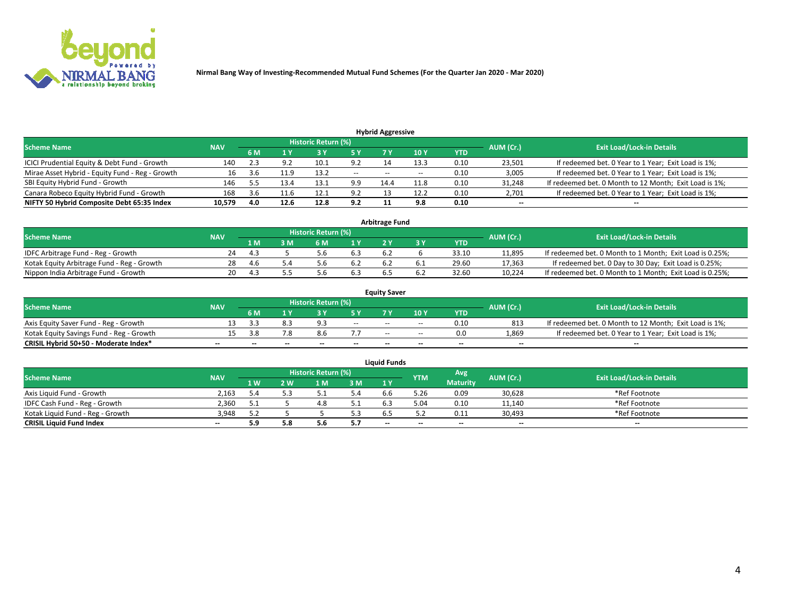

|                                                 |            |     |      |                            |        | <b>Hybrid Aggressive</b> |       |      |                          |                                                        |
|-------------------------------------------------|------------|-----|------|----------------------------|--------|--------------------------|-------|------|--------------------------|--------------------------------------------------------|
| <b>Scheme Name</b>                              | <b>NAV</b> |     |      | <b>Historic Return (%)</b> |        |                          |       |      | AUM (Cr.)                | <b>Exit Load/Lock-in Details</b>                       |
|                                                 |            | 6 M |      |                            |        |                          | 10Y   | YTD  |                          |                                                        |
| ICICI Prudential Equity & Debt Fund - Growth    | 140        |     | 9.2  | 10.1                       | 9.2    |                          | 13.3  | 0.10 | 23,501                   | If redeemed bet. 0 Year to 1 Year; Exit Load is 1%;    |
| Mirae Asset Hybrid - Equity Fund - Reg - Growth | 16         | 3.b | 11.9 | 13.2                       | $\sim$ | $\overline{\phantom{a}}$ | $- -$ | 0.10 | 3,005                    | If redeemed bet. 0 Year to 1 Year; Exit Load is 1%;    |
| SBI Equity Hybrid Fund - Growth                 | 146        |     | 13.4 | 13.1                       | 9.9    | 14.4                     | 11.8  | 0.10 | 31,248                   | If redeemed bet. 0 Month to 12 Month; Exit Load is 1%; |
| Canara Robeco Equity Hybrid Fund - Growth       | 168        | 3.6 | 11.0 | 12.1                       | 9.2    |                          | 12.2  | 0.10 | 2,701                    | If redeemed bet. 0 Year to 1 Year; Exit Load is 1%;    |
| NIFTY 50 Hybrid Composite Debt 65:35 Index      | 10,579     | 4.0 | 12.6 | 12.8                       | 9.2    |                          | 9.8   | 0.10 | $\overline{\phantom{a}}$ | $- -$                                                  |

|                                            |            |      |     |                     |     | <b>Arbitrage Fund</b> |       |           |                                                          |
|--------------------------------------------|------------|------|-----|---------------------|-----|-----------------------|-------|-----------|----------------------------------------------------------|
| Scheme Name                                | <b>NAV</b> |      |     | Historic Return (%) |     |                       |       | AUM (Cr.) | <b>Exit Load/Lock-in Details</b>                         |
|                                            |            | 1 M  | ያ M | 6 M                 |     |                       | YTD   |           |                                                          |
| IDFC Arbitrage Fund - Reg - Growth         | 24         | -4.3 |     | ı h                 | 6.3 | 6.2                   | 33.10 | 11,895    | If redeemed bet. 0 Month to 1 Month; Exit Load is 0.25%; |
| Kotak Equity Arbitrage Fund - Reg - Growth | 28         | 4.6  |     | J.b                 | 6.2 |                       | 29.60 | 17,363    | If redeemed bet. 0 Day to 30 Day; Exit Load is 0.25%;    |
| Nippon India Arbitrage Fund - Growth       | 20         |      |     |                     | 6.3 | b.:                   | 32.60 | 10.224    | If redeemed bet. 0 Month to 1 Month; Exit Load is 0.25%; |

|                                          |            |           |                                  |                          |                          | <b>Equity Saver</b> |               |            |                          |                                                        |
|------------------------------------------|------------|-----------|----------------------------------|--------------------------|--------------------------|---------------------|---------------|------------|--------------------------|--------------------------------------------------------|
| Scheme Name                              | <b>NAV</b> | AUM (Cr.) | <b>Exit Load/Lock-in Details</b> |                          |                          |                     |               |            |                          |                                                        |
|                                          |            | 6 M       |                                  |                          | 5 Y                      |                     | $\sqrt{10}$ Y | <b>YTD</b> |                          |                                                        |
| Axis Equity Saver Fund - Reg - Growth    |            |           |                                  | $\alpha$                 | $\sim$                   | $- -$               | $- -$         | 0.10       | 813                      | If redeemed bet. 0 Month to 12 Month; Exit Load is 1%; |
| Kotak Equity Savings Fund - Reg - Growth |            | 3.ጸ       | 7.8                              | 8.6                      |                          | $\sim$ $\sim$       | $- -$         | 0.0        | 1,869                    | If redeemed bet. 0 Year to 1 Year; Exit Load is 1%;    |
| CRISIL Hybrid 50+50 - Moderate Index*    |            | $-$       | $-$                              | $\overline{\phantom{a}}$ | $\overline{\phantom{a}}$ | $\sim$              | --            | $\sim$     | $\overline{\phantom{a}}$ | $- -$                                                  |

| <b>Liquid Funds</b>              |            |      |     |                            |     |        |            |                 |           |                                  |  |  |  |  |
|----------------------------------|------------|------|-----|----------------------------|-----|--------|------------|-----------------|-----------|----------------------------------|--|--|--|--|
| Scheme Name                      | <b>NAV</b> |      |     | <b>Historic Return (%)</b> |     |        | <b>YTM</b> | Avg             | AUM (Cr.) | <b>Exit Load/Lock-in Details</b> |  |  |  |  |
|                                  |            | 1 W. | 2 W | 1 M                        | 3M  | 71 Y   |            | <b>Maturity</b> |           |                                  |  |  |  |  |
| Axis Liquid Fund - Growth        | 2,163      | 4.ر  |     |                            | 5.4 | b.b    | 5.26       | 0.09            | 30,628    | *Ref Footnote                    |  |  |  |  |
| IDFC Cash Fund - Reg - Growth    | 2.360      |      |     | 4.C                        | 5.1 | 6.3    | 5.04       | 0.10            | 11,140    | *Ref Footnote                    |  |  |  |  |
| Kotak Liquid Fund - Reg - Growth | 3.948      |      |     |                            | 5.3 |        |            | 0.11            | 30,493    | *Ref Footnote                    |  |  |  |  |
| <b>CRISIL Liquid Fund Index</b>  | $\sim$     | 5.9  |     |                            | 5.7 | $\sim$ | $-$        | $\sim$          | $\sim$    | $\sim$                           |  |  |  |  |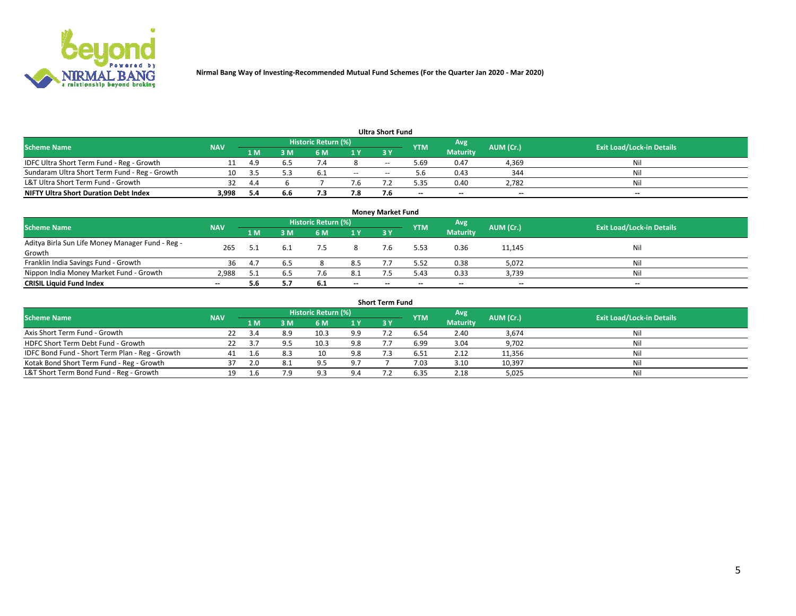

|                                               |            |      |     |                     |               | <b>Ultra Short Fund</b> |            |                 |           |                                  |
|-----------------------------------------------|------------|------|-----|---------------------|---------------|-------------------------|------------|-----------------|-----------|----------------------------------|
| <b>Scheme Name</b>                            | <b>NAV</b> |      |     | Historic Return (%) |               |                         | <b>YTM</b> | Avg             | AUM (Cr.) | <b>Exit Load/Lock-in Details</b> |
|                                               |            | 1 M  | 3 M | 6 M                 | 1 Y           | <b>3 Y</b>              |            | <b>Maturity</b> |           |                                  |
| IDFC Ultra Short Term Fund - Reg - Growth     |            | 4.9  |     |                     |               | $-$                     | ۔ 69. ذ    | 0.47            | 4,369     | Nil                              |
| Sundaram Ultra Short Term Fund - Reg - Growth |            |      |     | $b_{\cdot}$         | $\sim$ $\sim$ | --                      |            | 0.43            | 344       | Nil                              |
| L&T Ultra Short Term Fund - Growth            |            | 4.4  |     |                     | 7.b           |                         | 5.35       | 0.40            | 2,782     | Nil                              |
| <b>NIFTY Ultra Short Duration Debt Index</b>  | 3,998      | -5.4 | 6.6 |                     | 7.8           |                         | --         | $-$             | $- -$     | $- -$                            |

| <b>Monev Market Fund</b>                         |            |      |     |                     |        |        |            |                 |           |                                  |  |  |  |
|--------------------------------------------------|------------|------|-----|---------------------|--------|--------|------------|-----------------|-----------|----------------------------------|--|--|--|
| <b>Scheme Name</b>                               | <b>NAV</b> |      |     | Historic Return (%) |        |        | <b>YTM</b> | Avg             | AUM (Cr.) | <b>Exit Load/Lock-in Details</b> |  |  |  |
|                                                  |            | 1 M. | 3 M | 6 M                 | 1Y     | 3Y     |            | <b>Maturity</b> |           |                                  |  |  |  |
| Aditya Birla Sun Life Money Manager Fund - Reg - | 265        |      |     |                     |        |        | 5.53       | 0.36            | 11,145    | Nil                              |  |  |  |
| Growth                                           |            |      |     |                     |        |        |            |                 |           |                                  |  |  |  |
| Franklin India Savings Fund - Growth             | 36         | 4.   | 6.5 |                     | 8.5    |        | 5.52       | 0.38            | 5,072     | Nil                              |  |  |  |
| Nippon India Money Market Fund - Growth          | 2.988      |      | 6.5 |                     | -8.1   |        | 5.43       | 0.33            | 3,739     | Nil                              |  |  |  |
| <b>CRISIL Liquid Fund Index</b>                  | $\sim$     | 5.6  | 5.7 | - 6.1               | $\sim$ | $\sim$ | --         | $\sim$          | $\sim$    | $- -$                            |  |  |  |

| <b>Short Term Fund</b>                          |            |     |     |                     |                |           |            |                 |           |                                  |  |  |  |  |
|-------------------------------------------------|------------|-----|-----|---------------------|----------------|-----------|------------|-----------------|-----------|----------------------------------|--|--|--|--|
| <b>Scheme Name</b>                              | <b>NAV</b> |     |     | Historic Return (%) |                |           | <b>YTM</b> | Avg             | AUM (Cr.) | <b>Exit Load/Lock-in Details</b> |  |  |  |  |
|                                                 |            | 1 M | 3 M | 6 M                 | 1 <sup>Y</sup> | <b>3Y</b> |            | <b>Maturity</b> |           |                                  |  |  |  |  |
| Axis Short Term Fund - Growth                   | 22         |     | 8.9 | 10.3                | 9.9            |           | 6.54       | 2.40            | 3,674     | Nil                              |  |  |  |  |
| HDFC Short Term Debt Fund - Growth              | 22         |     |     | 10.3                | 9.8            |           | 6.99       | 3.04            | 9,702     | Nil                              |  |  |  |  |
| IDFC Bond Fund - Short Term Plan - Reg - Growth | 41         |     |     | 10                  | 9.8            |           | 6.51       | 2.12            | 11,356    | Nil                              |  |  |  |  |
| Kotak Bond Short Term Fund - Reg - Growth       | 37         | 2.0 |     | 9.5                 | 9.7            |           | 7.03       | 3.10            | 10,397    | Nil                              |  |  |  |  |
| L&T Short Term Bond Fund - Reg - Growth         | 19.        | -6  | 7.9 | Q 2                 | 9.4            |           | 6.35       | 2.18            | 5,025     | Nil                              |  |  |  |  |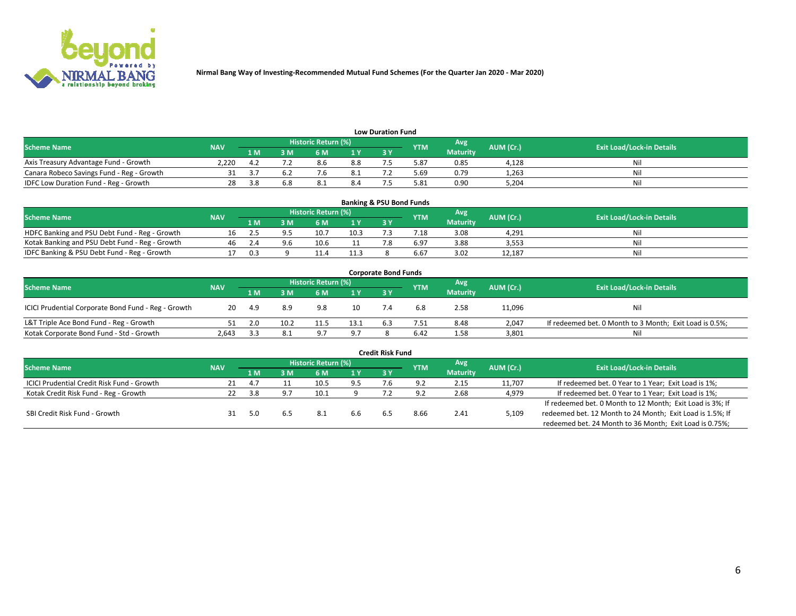

| <b>Low Duration Fund</b>                                                                                                             |       |     |     |     |      |  |      |                 |       |     |  |  |  |  |
|--------------------------------------------------------------------------------------------------------------------------------------|-------|-----|-----|-----|------|--|------|-----------------|-------|-----|--|--|--|--|
| <b>Historic Return (%)</b><br>Avg<br>AUM (Cr.)<br><b>Exit Load/Lock-in Details</b><br><b>Scheme Name</b><br><b>NAV</b><br><b>YTM</b> |       |     |     |     |      |  |      |                 |       |     |  |  |  |  |
|                                                                                                                                      |       | 1 M | ያ M | 5 M | 4 V. |  |      | <b>Maturity</b> |       |     |  |  |  |  |
| Axis Treasury Advantage Fund - Growth                                                                                                | 2.220 |     |     | 8.6 | 8.8  |  | 5.87 | 0.85            | 4,128 | Nil |  |  |  |  |
| Canara Robeco Savings Fund - Reg - Growth                                                                                            |       |     |     |     | 8.1  |  | 5.69 | 0.79            | 1,263 | Nil |  |  |  |  |
| IDFC Low Duration Fund - Reg - Growth                                                                                                |       |     | 6.8 | د.8 | 8.4  |  | 5.81 | 0.90            | 5,204 | Nil |  |  |  |  |

| <b>Banking &amp; PSU Bond Funds</b>            |            |      |    |                            |      |           |                 |                 |           |                                  |  |  |  |
|------------------------------------------------|------------|------|----|----------------------------|------|-----------|-----------------|-----------------|-----------|----------------------------------|--|--|--|
| <b>Scheme Name</b>                             | <b>NAV</b> |      |    | <b>Historic Return (%)</b> |      |           | <b>YTM</b>      | Avg             | AUM (Cr.) | <b>Exit Load/Lock-in Details</b> |  |  |  |
|                                                |            | 1 M  | sм | 6 M                        |      | <b>3Y</b> |                 | <b>Maturity</b> |           |                                  |  |  |  |
| HDFC Banking and PSU Debt Fund - Reg - Growth  | Ίħ.        |      |    | 10.                        | 10.3 |           | $^{\prime}$ .18 | 3.08            | 4.291     | Ni                               |  |  |  |
| Kotak Banking and PSU Debt Fund - Reg - Growth | 46         |      |    | 10.6                       |      |           | 6.97            | 3.88            | 3,553     | Ni                               |  |  |  |
| IDFC Banking & PSU Debt Fund - Reg - Growth    |            | ิก ว |    |                            | 11.3 |           | 6.67            | 3.02            | 12.187    | Ni                               |  |  |  |

| <b>Corporate Bond Funds</b>                         |            |      |      |                     |      |     |            |                  |           |                                                         |  |  |  |  |
|-----------------------------------------------------|------------|------|------|---------------------|------|-----|------------|------------------|-----------|---------------------------------------------------------|--|--|--|--|
| <b>Scheme Name</b>                                  | <b>NAV</b> |      |      | Historic Return (%) |      |     | <b>YTM</b> | Avg <sup>1</sup> | AUM (Cr.) | <b>Exit Load/Lock-in Details</b>                        |  |  |  |  |
|                                                     |            | 1 M  | : M  | 6 M                 | 1 Y  | 3 Y |            | <b>Maturity</b>  |           |                                                         |  |  |  |  |
| ICICI Prudential Corporate Bond Fund - Reg - Growth | 20         | -4.9 | 8.9  | 9.8                 | 10   |     | 6.8        | 2.58             | 11,096    | Nil                                                     |  |  |  |  |
| L&T Triple Ace Bond Fund - Reg - Growth             |            |      | 10.2 |                     | 13.1 |     | 7.51       | 8.48             | 2,047     | If redeemed bet. 0 Month to 3 Month; Exit Load is 0.5%; |  |  |  |  |
| Kotak Corporate Bond Fund - Std - Growth            | 2.643      |      | 8.1  | 07                  | 9.7  |     | 6.42       | 1.58             | 3,801     | Nil                                                     |  |  |  |  |

| <b>Credit Risk Fund</b>                           |            |           |     |                            |     |     |            |                 |           |                                                           |  |  |  |
|---------------------------------------------------|------------|-----------|-----|----------------------------|-----|-----|------------|-----------------|-----------|-----------------------------------------------------------|--|--|--|
| <b>Scheme Name</b>                                | <b>NAV</b> |           |     | <b>Historic Return (%)</b> |     |     | <b>YTM</b> | 'Avg            | AUM (Cr.) | <b>Exit Load/Lock-in Details</b>                          |  |  |  |
|                                                   |            | 1 M       | 3 M | 6 M                        | 1 Y | 3Y  |            | <b>Maturity</b> |           |                                                           |  |  |  |
| <b>ICICI Prudential Credit Risk Fund - Growth</b> |            | -4.7      |     | 10.5                       | 9.5 | 7.b | 9.2        | 2.15            | 11,707    | If redeemed bet. 0 Year to 1 Year; Exit Load is 1%;       |  |  |  |
| Kotak Credit Risk Fund - Reg - Growth             |            | <b>38</b> | _പറ |                            |     |     |            | 2.68            | 4,979     | If redeemed bet. 0 Year to 1 Year; Exit Load is 1%;       |  |  |  |
|                                                   |            |           |     |                            |     |     |            |                 |           | If redeemed bet. 0 Month to 12 Month; Exit Load is 3%; If |  |  |  |
| SBI Credit Risk Fund - Growth                     |            |           |     | -8.1                       | 6.6 |     | 8.66       | 2.41            | 5,109     | redeemed bet. 12 Month to 24 Month; Exit Load is 1.5%; If |  |  |  |
|                                                   |            |           |     |                            |     |     |            |                 |           | redeemed bet. 24 Month to 36 Month; Exit Load is 0.75%;   |  |  |  |